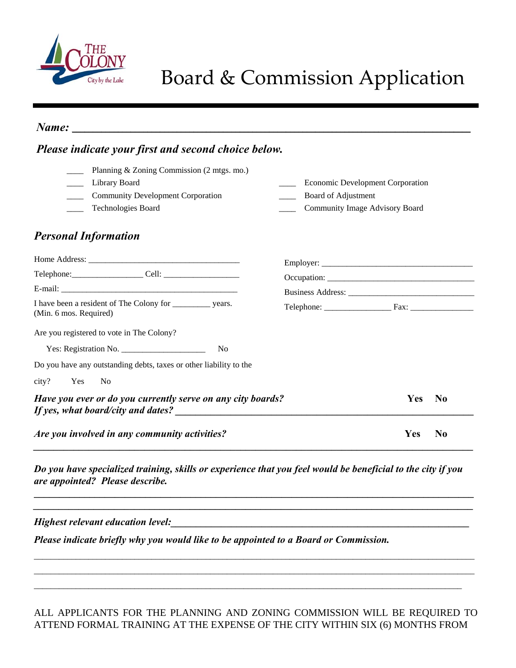

## Board & Commission Application

| Please indicate your first and second choice below.                                                                                            |                                                                                                  |  |  |
|------------------------------------------------------------------------------------------------------------------------------------------------|--------------------------------------------------------------------------------------------------|--|--|
| Planning & Zoning Commission (2 mtgs. mo.)<br>Library Board<br><b>Community Development Corporation</b><br>Technologies Board                  | <b>Economic Development Corporation</b><br>Board of Adjustment<br>Community Image Advisory Board |  |  |
| <b>Personal Information</b>                                                                                                                    |                                                                                                  |  |  |
|                                                                                                                                                |                                                                                                  |  |  |
| I have been a resident of The Colony for ____________ years.<br>(Min. 6 mos. Required)                                                         |                                                                                                  |  |  |
| Are you registered to vote in The Colony?                                                                                                      |                                                                                                  |  |  |
| N <sub>0</sub>                                                                                                                                 |                                                                                                  |  |  |
| Do you have any outstanding debts, taxes or other liability to the                                                                             |                                                                                                  |  |  |
| city?<br>Yes<br>N <sub>0</sub>                                                                                                                 |                                                                                                  |  |  |
| Have you ever or do you currently serve on any city boards?                                                                                    | <b>Yes</b><br>N <sub>0</sub>                                                                     |  |  |
| Are you involved in any community activities?                                                                                                  | Yes<br>N <sub>0</sub>                                                                            |  |  |
| Do you have specialized training, skills or experience that you feel would be beneficial to the city if you<br>are appointed? Please describe. |                                                                                                  |  |  |
| <b>Example 1</b> Highest relevant education level: <b>Example 2</b> Highest relevant education level:                                          |                                                                                                  |  |  |
| Please indicate briefly why you would like to be appointed to a Board or Commission.                                                           |                                                                                                  |  |  |

## ALL APPLICANTS FOR THE PLANNING AND ZONING COMMISSION WILL BE REQUIRED TO ATTEND FORMAL TRAINING AT THE EXPENSE OF THE CITY WITHIN SIX (6) MONTHS FROM

\_\_\_\_\_\_\_\_\_\_\_\_\_\_\_\_\_\_\_\_\_\_\_\_\_\_\_\_\_\_\_\_\_\_\_\_\_\_\_\_\_\_\_\_\_\_\_\_\_\_\_\_\_\_\_\_\_\_\_\_\_\_\_\_\_\_\_\_\_\_\_\_\_\_\_\_\_\_\_\_\_\_\_\_\_\_\_\_\_\_\_\_\_\_\_\_\_\_\_\_\_\_\_\_\_ \_\_\_\_\_\_\_\_\_\_\_\_\_\_\_\_\_\_\_\_\_\_\_\_\_\_\_\_\_\_\_\_\_\_\_\_\_\_\_\_\_\_\_\_\_\_\_\_\_\_\_\_\_\_\_\_\_\_\_\_\_\_\_\_\_\_\_\_\_\_\_\_\_\_\_\_\_\_\_\_\_\_\_\_\_\_\_\_\_\_\_\_\_\_\_\_\_\_\_\_\_\_\_\_\_ \_\_\_\_\_\_\_\_\_\_\_\_\_\_\_\_\_\_\_\_\_\_\_\_\_\_\_\_\_\_\_\_\_\_\_\_\_\_\_\_\_\_\_\_\_\_\_\_\_\_\_\_\_\_\_\_\_\_\_\_\_\_\_\_\_\_\_\_\_\_\_\_\_\_\_\_\_\_\_\_\_\_\_\_\_\_\_\_\_\_\_\_\_\_\_\_\_\_\_\_\_\_